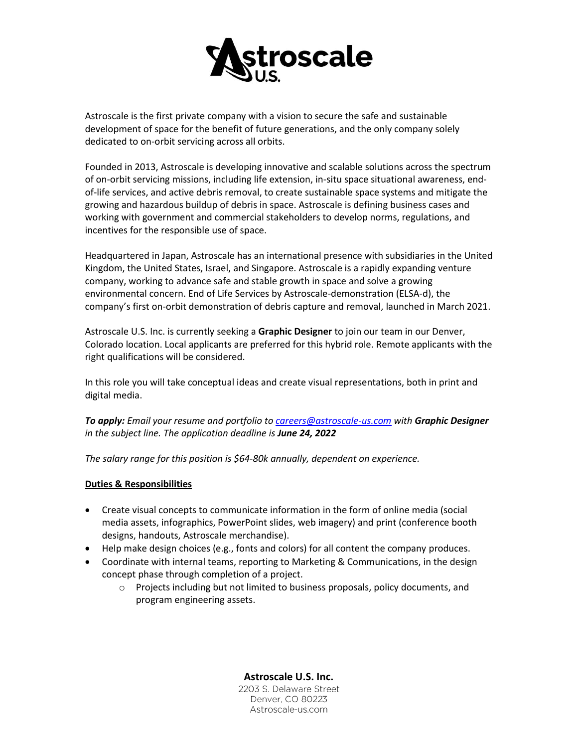

Astroscale is the first private company with a vision to secure the safe and sustainable development of space for the benefit of future generations, and the only company solely dedicated to on-orbit servicing across all orbits.

Founded in 2013, Astroscale is developing innovative and scalable solutions across the spectrum of on-orbit servicing missions, including life extension, in-situ space situational awareness, endof-life services, and active debris removal, to create sustainable space systems and mitigate the growing and hazardous buildup of debris in space. Astroscale is defining business cases and working with government and commercial stakeholders to develop norms, regulations, and incentives for the responsible use of space.

Headquartered in Japan, Astroscale has an international presence with subsidiaries in the United Kingdom, the United States, Israel, and Singapore. Astroscale is a rapidly expanding venture company, working to advance safe and stable growth in space and solve a growing environmental concern. End of Life Services by Astroscale-demonstration (ELSA-d), the company's first on-orbit demonstration of debris capture and removal, launched in March 2021.

Astroscale U.S. Inc. is currently seeking a **Graphic Designer** to join our team in our Denver, Colorado location. Local applicants are preferred for this hybrid role. Remote applicants with the right qualifications will be considered.

In this role you will take conceptual ideas and create visual representations, both in print and digital media.

*To apply: Email your resume and portfolio to [careers@astroscale-us.com](mailto:careers@astroscale-us.com) with Graphic Designer in the subject line. The application deadline is June 24, 2022*

*The salary range for this position is \$64-80k annually, dependent on experience.*

## **Duties & Responsibilities**

- Create visual concepts to communicate information in the form of online media (social media assets, infographics, PowerPoint slides, web imagery) and print (conference booth designs, handouts, Astroscale merchandise).
- Help make design choices (e.g., fonts and colors) for all content the company produces.
- Coordinate with internal teams, reporting to Marketing & Communications, in the design concept phase through completion of a project.
	- o Projects including but not limited to business proposals, policy documents, and program engineering assets.

**Astroscale U.S. Inc.** 2203 S. Delaware Street Denver, CO 80223 Astroscale-us.com